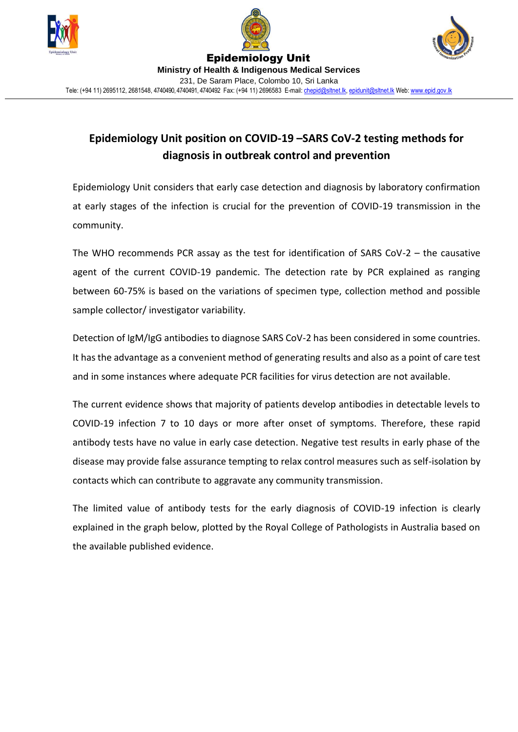





## **Epidemiology Unit position on COVID-19 –SARS CoV-2 testing methods for diagnosis in outbreak control and prevention**

Epidemiology Unit considers that early case detection and diagnosis by laboratory confirmation at early stages of the infection is crucial for the prevention of COVID-19 transmission in the community.

The WHO recommends PCR assay as the test for identification of SARS CoV-2 – the causative agent of the current COVID-19 pandemic. The detection rate by PCR explained as ranging between 60-75% is based on the variations of specimen type, collection method and possible sample collector/ investigator variability.

Detection of IgM/IgG antibodies to diagnose SARS CoV-2 has been considered in some countries. It has the advantage as a convenient method of generating results and also as a point of care test and in some instances where adequate PCR facilities for virus detection are not available.

The current evidence shows that majority of patients develop antibodies in detectable levels to COVID-19 infection 7 to 10 days or more after onset of symptoms. Therefore, these rapid antibody tests have no value in early case detection. Negative test results in early phase of the disease may provide false assurance tempting to relax control measures such as self-isolation by contacts which can contribute to aggravate any community transmission.

The limited value of antibody tests for the early diagnosis of COVID-19 infection is clearly explained in the graph below, plotted by the Royal College of Pathologists in Australia based on the available published evidence.